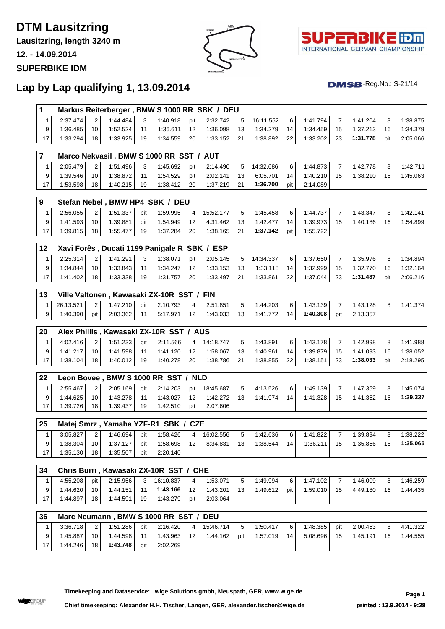# **DTM Lausitzring**

**Lausitzring, length 3240 m**

**12. - 14.09.2014**

#### **SUPERBIKE IDM**





 $DMSB$ -Reg.No.: S-21/14

## **Lap by Lap qualifying 1, 13.09.2014**

|          |    |          |                 |          |                 | Markus Reiterberger, BMW S 1000 RR SBK / DEU |                |           |    |          |                 |          |                 |          |
|----------|----|----------|-----------------|----------|-----------------|----------------------------------------------|----------------|-----------|----|----------|-----------------|----------|-----------------|----------|
| 2:37.474 |    | 1:44.484 | 3 <sub>1</sub>  | 1:40.918 | pit l           | 2:32.742                                     | 5 <sup>1</sup> | 16:11.552 | 6  | 1:41.794 |                 | 1:41.204 | 8               | 1:38.875 |
| 1:36.485 | 10 | 1:52.524 | 11              | 1:36.611 | 12 <sub>1</sub> | 1:36.098                                     | 13             | 1:34.279  | 14 | 1:34.459 | 15 <sub>1</sub> | 1:37.213 | 16 <sub>1</sub> | 1:34.379 |
| 1:33.294 | 18 | 1:33.925 | 19 <sup>1</sup> | 1:34.559 | 20              | 1:33.152                                     | 21             | 1:38.892  | 22 | 1:33.202 | 23              | 1:31.778 | pit             | 2:05.066 |

|    |          |    |          |                | Marco Nekvasil, BMW S 1000 RR SST / AUT |       |          |    |           |                 |          |    |          |                 |          |
|----|----------|----|----------|----------------|-----------------------------------------|-------|----------|----|-----------|-----------------|----------|----|----------|-----------------|----------|
|    | 2:05.479 |    | 1:51.496 | 3 <sub>1</sub> | 1:45.692                                | pit l | 2:14.490 | 5. | 14:32.686 | 6               | 1:44.873 |    | 1:42.778 | 8               | 1:42.711 |
|    | 1:39.546 |    | 1:38.872 | 11             | 1:54.529                                | pit   | 2:02.141 | 13 | 6:05.701  | 14 <sup>1</sup> | 1:40.210 | 15 | 1:38.210 | 16 <sub>1</sub> | 1:45.063 |
| 17 | :53.598  | 18 | 1:40.215 | 19             | 1:38.412                                | 20    | 1:37.219 | 21 | 1:36.700  | pit             | 2:14.089 |    |          |                 |          |

|              |                 |              |     | Stefan Nebel, BMW HP4 SBK / DEU |                 |           |                 |          |       |          |    |          |    |          |
|--------------|-----------------|--------------|-----|---------------------------------|-----------------|-----------|-----------------|----------|-------|----------|----|----------|----|----------|
| 2:56.055     |                 | $1:51.337 +$ | pit | 1:59.995                        |                 | 15:52.177 |                 | 1:45.458 | 6     | 1:44.737 |    | 1:43.347 | 8  | 1:42.141 |
| $1:41.593 +$ | 10              | 1:39.881     | pit | 1:54.949                        | 12 <sup>1</sup> | 4:31.462  | 13 <sup>1</sup> | 1:42.477 | 14    | 1:39.973 | 15 | 1:40.186 | 16 | 1:54.899 |
| 1:39.815     | 18 <sub>1</sub> | 1:55.477     | 19  | 1:37.284                        | 20 <sub>1</sub> | 1:38.165  | 21              | 1:37.142 | pit l | 1:55.722 |    |          |    |          |

| $ 12\rangle$ |          |                | Xavi Forês, Ducati 1199 Panigale R SBK / ESP |     |          |                 |          |                 |           |                |          |                 |          |                |          |
|--------------|----------|----------------|----------------------------------------------|-----|----------|-----------------|----------|-----------------|-----------|----------------|----------|-----------------|----------|----------------|----------|
|              | 2:25.314 | $\overline{2}$ | 1:41.291                                     | 3   | 1:38.071 | pit l           | 2:05.145 | 5 <sup>1</sup>  | 14:34.337 | 6 <sub>1</sub> | 1:37.650 |                 | 1:35.976 | 8 <sub>1</sub> | 1:34.894 |
|              | 1:34.844 | 10             | 1:33.843                                     | 111 | 1:34.247 | 12 <sup>1</sup> | 1:33.153 | 13 <sup>1</sup> | 1:33.118  | 14             | 1:32.999 | 15 <sup>1</sup> | 1:32.770 | 16             | 1:32.164 |
| 17           | 1:41.402 | 18             | 1:33.338                                     | 19  | 1:31.757 | 20              | 1:33.497 | 21              | 1:33.861  | 22             | 1:37.044 | 23              | 1:31.487 | pit            | 2:06.216 |

| $ 13\rangle$ |           |     |              |                 | Ville Valtonen, Kawasaki ZX-10R SST / FIN |                 |          |                 |          |    |          |       |          |          |
|--------------|-----------|-----|--------------|-----------------|-------------------------------------------|-----------------|----------|-----------------|----------|----|----------|-------|----------|----------|
|              | 26:13.521 |     | $1:47.210 +$ | pit             | 2:10.793                                  | $\vert$ $\vert$ | 2:51.851 |                 | 1:44.203 | 6  | 1:43.139 |       | 1:43.128 | 1:41.374 |
|              | 1:40.390  | pit | 2:03.362     | 11 <sup>1</sup> | 5:17.971                                  | 12 <sup>1</sup> | 1:43.033 | 13 <sup>1</sup> | 1:41.772 | 14 | 1:40.308 | pit l | 2:13.357 |          |

| 20 |          |    |          |                 | Alex Phillis, Kawasaki ZX-10R SST / AUS |                 |           |                 |          |    |          |    |          |     |          |
|----|----------|----|----------|-----------------|-----------------------------------------|-----------------|-----------|-----------------|----------|----|----------|----|----------|-----|----------|
|    | 4:02.416 | っ  | 1:51.233 | pit l           | 2:11.566                                | 4 <sup>1</sup>  | 14:18.747 | 5               | 1:43.891 | 6  | 1:43.178 |    | 1:42.998 | 8   | 1:41.988 |
|    | 1:41.217 | 10 | 1:41.598 | 11 <sub>1</sub> | 1:41.120                                | 12 <sub>1</sub> | 1:58.067  | 13 <sub>1</sub> | 1:40.961 | 14 | 1:39.879 | 15 | 1:41.093 | 16  | 1:38.052 |
|    | 1:38.104 | 18 | 1:40.012 | 19.             | 1:40.278                                | 20              | 1:38.786  | 21              | 1:38.855 | 22 | 1:38.151 | 23 | 1:38.033 | pit | 2:18.295 |

| $ 22\rangle$ |          |    |          |     | Leon Bovee, BMW S 1000 RR SST / NLD |     |           |          |    |          |    |          |    |          |
|--------------|----------|----|----------|-----|-------------------------------------|-----|-----------|----------|----|----------|----|----------|----|----------|
|              | 2:55.467 | 2  | 2:05.169 | pit | 2:14.203                            | pit | 18:45.687 | 4:13.526 | 6  | 1:49.139 |    | 1:47.359 |    | 1:45.074 |
| a            | 1:44.625 | 10 | 1:43.278 | 11  | 1:43.027                            | 12  | 1:42.272  | 1:41.974 | 14 | 1:41.328 | 15 | 1:41.352 | 16 | 1:39.337 |
| 17           | 1:39.726 | 18 | 1:39.437 | 19  | 1:42.510                            | pit | 2:07.606  |          |    |          |    |          |    |          |

| 25 |          |    |          |     | Matej Smrz, Yamaha YZF-R1 SBK / CZE |    |           |    |          |    |          |    |          |    |          |
|----|----------|----|----------|-----|-------------------------------------|----|-----------|----|----------|----|----------|----|----------|----|----------|
|    | 3:05.827 |    | 1:46.694 | pit | 1:58.426                            | 4  | 16:02.556 |    | 1:42.636 | 6  | 1:41.822 |    | 1:39.894 | 8  | 1:38.222 |
|    | 1:38.304 | 10 | 1:37.127 | pit | 1:58.698                            | 12 | 8:34.831  | 13 | 1:38.544 | 14 | 1:36.211 | 15 | 1:35.856 | 16 | 1:35.065 |
|    | 1:35.130 | 18 | 1:35.507 | pit | 2:20.140                            |    |           |    |          |    |          |    |          |    |          |

| 34 |          |                 |          |                 | Chris Burri, Kawasaki ZX-10R SST / CHE |                 |          |                 |          |     |          |    |          |                 |          |
|----|----------|-----------------|----------|-----------------|----------------------------------------|-----------------|----------|-----------------|----------|-----|----------|----|----------|-----------------|----------|
|    | 4:55.208 | pit l           | 2:15.956 | 3               | 16:10.837                              | $\overline{4}$  | 1:53.071 |                 | 1:49.994 | 6   | 1:47.102 |    | 1:46.009 | 8               | 1:46.259 |
|    | 1:44.620 | 10 <sup>1</sup> | 1:44.151 | 11 <sup>1</sup> | 1:43.166                               | 12 <sup>1</sup> | 1:43.201 | 13 <sub>1</sub> | 1:49.612 | pit | 1:59.010 | 15 | 4:49.180 | 16 <sub>1</sub> | 1:44.435 |
|    | 1:44.897 | 18              | 1:44.591 | 19              | 1:43.279                               | pit l           | 2:03.064 |                 |          |     |          |    |          |                 |          |

| 36 |          |                 |          |                 | Marc Neumann, BMW S 1000 RR SST / DEU |                 |           |                |          |                |          |                 |          |                |          |
|----|----------|-----------------|----------|-----------------|---------------------------------------|-----------------|-----------|----------------|----------|----------------|----------|-----------------|----------|----------------|----------|
|    | 3:36.718 | 2 <sup>1</sup>  | 1:51.286 | pit l           | 2:16.420                              | $\vert$ 4       | 15:46.714 | 5 <sup>1</sup> | 1:50.417 | 6 <sup>1</sup> | 1:48.385 | pit l           | 2:00.453 | 8 <sup>1</sup> | 4:41.322 |
|    | 1:45.887 | 10 <sup>1</sup> | 1:44.598 | 11 <sup>1</sup> | 1:43.963                              | 12 <sup>1</sup> | 1:44.162  | pit l          | 1:57.019 | 14             | 5:08.696 | 15 <sup>1</sup> | 1:45.191 | 16             | 1:44.555 |
|    | 1:44.246 | 18 <sup>1</sup> | 1:43.748 | pit l           | 2:02.269                              |                 |           |                |          |                |          |                 |          |                |          |

**Timekeeping and Dataservice: \_wige Solutions gmbh, Meuspath, GER, www.wige.de Page 1**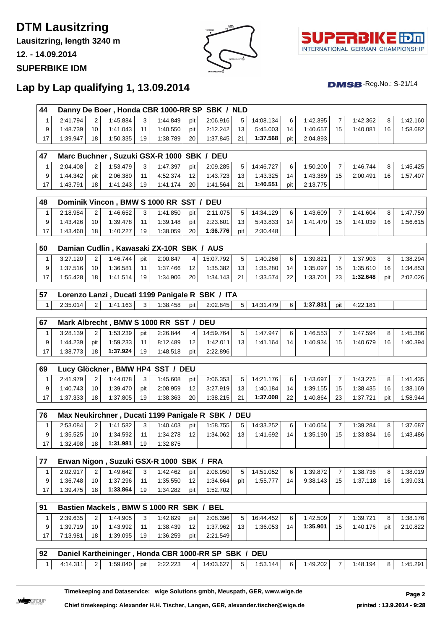# **DTM Lausitzring**

**Lausitzring, length 3240 m**

**12. - 14.09.2014**

#### **SUPERBIKE IDM**





 $DMSB$ -Reg.No.: S-21/14

## **Lap by Lap qualifying 1, 13.09.2014**

| 44 |          |                      |          |                 | Danny De Boer, Honda CBR 1000-RR SP SBK / NLD |                 |          |                 |           |       |          |                 |          |    |          |
|----|----------|----------------------|----------|-----------------|-----------------------------------------------|-----------------|----------|-----------------|-----------|-------|----------|-----------------|----------|----|----------|
|    | 2:41.794 | $\mathbf{2}^{\circ}$ | 1:45.884 | 3 <sup>1</sup>  | 1:44.849                                      | pit l           | 2:06.916 | 5 <sup>1</sup>  | 14:08.134 | 6     | 1:42.395 |                 | 1:42.362 | 8  | 1:42.160 |
|    | 1:48.739 | 10 <sup>1</sup>      | 1:41.043 | 11 <sup>1</sup> | 1:40.550                                      | pit l           | 2:12.242 | 13 <sup>1</sup> | 5:45.003  | 14    | 1:40.657 | 15 <sup>1</sup> | 1:40.081 | 16 | 1:58.682 |
|    | 1:39.947 | 18                   | 1:50.335 | 19              | 1:38.789                                      | 20 <sub>1</sub> | 1:37.845 | 21              | 1:37.568  | pit l | 2:04.893 |                 |          |    |          |

| .47 |          |       | Marc Buchner, Suzuki GSX-R 1000 SBK / DEU |                |          |                 |          |                 |           |     |          |    |          |    |          |
|-----|----------|-------|-------------------------------------------|----------------|----------|-----------------|----------|-----------------|-----------|-----|----------|----|----------|----|----------|
|     | 2:04.408 |       | 1:53.479                                  | 3 <sup>1</sup> | 1:47.397 | pit             | 2:09.285 | 5 <sup>1</sup>  | 14:46.727 | 6   | 1:50.200 |    | 1:46.744 | 8  | 1:45.425 |
|     | 1:44.342 | pit l | 2:06.380                                  | 11             | 4:52.374 | 12 <sup>1</sup> | 1:43.723 | 13 <sup>1</sup> | 1:43.325  | 14  | 1:43.389 | 15 | 2:00.491 | 16 | 1:57.407 |
| 17  | 1:43.791 | 18    | 1:41.243                                  | 19             | 1:41.174 | 20              | 1:41.564 | 21              | 1:40.551  | pit | 2:13.775 |    |          |    |          |

| 48 |              |    |          |                | Dominik Vincon, BMW S 1000 RR SST / DEU |                 |          |                |           |    |          |                 |          |    |          |
|----|--------------|----|----------|----------------|-----------------------------------------|-----------------|----------|----------------|-----------|----|----------|-----------------|----------|----|----------|
|    | 2:18.984     |    | 1:46.652 | 3 <sup>1</sup> | 1:41.850                                | pit l           | 2:11.075 | 5 <sup>1</sup> | 14:34.129 | 6  | 1:43.609 |                 | 1:41.604 | 8  | 1:47.759 |
|    | 1:43.426     | 10 | 1:39.478 | 11             | 1:39.148                                | pit l           | 2:23.601 | 13             | 5:43.833  | 14 | 1:41.470 | 15 <sup>1</sup> | 1:41.039 | 16 | 1:56.615 |
|    | $1:43.460 +$ | 18 | 1:40.227 | 19             | 1:38.059                                | 20 <sub>1</sub> | 1:36.776 | pit            | 2:30.448  |    |          |                 |          |    |          |

| 50 |          |    |          |     | Damian Cudlin, Kawasaki ZX-10R SBK / AUS |                 |           |                 |          |                 |          |                 |          |                 |          |
|----|----------|----|----------|-----|------------------------------------------|-----------------|-----------|-----------------|----------|-----------------|----------|-----------------|----------|-----------------|----------|
|    | 3:27.120 | 2  | 1:46.744 | pit | 2:00.847                                 | 4 I             | 15:07.792 | 5 <sup>1</sup>  | 1:40.266 | 6               | 1:39.821 |                 | 1:37.903 | 8               | 1:38.294 |
|    | 1:37.516 | 10 | 1:36.581 | 11  | 1:37.466                                 | 12 <sub>1</sub> | 1:35.382  | 13 <sup>1</sup> | 1:35.280 | 14              | 1:35.097 | 15 <sup>1</sup> | 1:35.610 | 16 <sub>1</sub> | 1:34.853 |
|    | 1:55.428 | 18 | 1:41.514 | 19  | 1:34.906                                 | 20 <sub>1</sub> | 1:34.143  | 21              | 1:33.574 | 22 <sub>1</sub> | 1:33.701 | 23 <sub>1</sub> | 1:32.648 | pit             | 2:02.026 |

| 57 Lorenzo Lanzi, Ducati 1199 Panigale R SBK / ITA                                      |  |  |  |  |  |  |  |
|-----------------------------------------------------------------------------------------|--|--|--|--|--|--|--|
| 2.35.014 2 1:41.163 3 1:38.458 pit 2:02.845 5 14:31.479 6 1: <b>37.831</b> pit 4:22.181 |  |  |  |  |  |  |  |

| l 67 |          |     |          |     | Mark Albrecht, BMW S 1000 RR SST / DEU |                |           |    |          |    |          |    |          |    |          |
|------|----------|-----|----------|-----|----------------------------------------|----------------|-----------|----|----------|----|----------|----|----------|----|----------|
|      | 3:28.139 | っ   | 1:53.239 | pit | 2:26.844                               | $\overline{4}$ | 14:59.764 |    | 1:47.947 | 6  | 1:46.553 |    | 1:47.594 | 8  | 1:45.386 |
| Q    | 1:44.239 | pit | 1:59.233 | 11  | 8:12.489                               | 12             | 1:42.011  | 13 | 1:41.164 | 14 | 1:40.934 | 15 | 1:40.679 | 16 | 1:40.394 |
| 17   | 1:38.773 | 18  | 1:37.924 | 19  | 1:48.518                               | pit            | 2:22.896  |    |          |    |          |    |          |    |          |

| l 69 |          |                |              |     | Lucy Glöckner, BMW HP4 SST / DEU |                 |          |                |           |    |          |                 |          |     |          |
|------|----------|----------------|--------------|-----|----------------------------------|-----------------|----------|----------------|-----------|----|----------|-----------------|----------|-----|----------|
|      | 2:41.979 | $\overline{2}$ | 1:44.078     | 3   | 1:45.608                         | pit             | 2:06.353 | 5 <sup>1</sup> | 14:21.176 | 6  | 1:43.697 |                 | 1:43.275 |     | 1:41.435 |
| Q    | 1:40.743 | 10             | $1:39.470 +$ | pit | 2:08.959                         | 12 <sub>1</sub> | 3:27.919 | 13             | 1:40.184  | 14 | 1:39.155 | 15 <sup>1</sup> | 1:38.435 | 16  | 1:38.169 |
| 17   | 1:37.333 | 18             | 1:37.805     | 19  | 1:38.363                         | 20              | 1:38.215 | 21             | 1:37.008  | 22 | 1:40.864 | 23 <sub>1</sub> | 1:37.721 | pit | 1:58.944 |

| 76 |          |    |          |                |          |                 | Max Neukirchner, Ducati 1199 Panigale R SBK / DEU |                |           |    |          |    |          |    |          |
|----|----------|----|----------|----------------|----------|-----------------|---------------------------------------------------|----------------|-----------|----|----------|----|----------|----|----------|
|    | 2:53.084 |    | 1:41.582 | 3 <sub>1</sub> | 1:40.403 | pit l           | 1:58.755                                          | 5 <sub>1</sub> | 14:33.252 | 6  | 1:40.054 |    | 1:39.284 |    | 1:37.687 |
|    | 1:35.525 | 10 | 1:34.592 | 11             | 1:34.278 | 12 <sup>2</sup> | 1:34.062                                          | 13             | 1:41.692  | 14 | 1:35.190 | 15 | 1:33.834 | 16 | 1:43.486 |
|    | 1:32.498 | 18 | 1:31.981 | 19             | 1:32.875 |                 |                                                   |                |           |    |          |    |          |    |          |

|          |                 |          |                 | Erwan Nigon, Suzuki GSX-R 1000 SBK / FRA |                 |          |                |           |    |          |                 |          |    |          |
|----------|-----------------|----------|-----------------|------------------------------------------|-----------------|----------|----------------|-----------|----|----------|-----------------|----------|----|----------|
| 2:02.917 | 2               | 1:49.642 | 3               | 1:42.462                                 | pit l           | 2:08.950 | 5 <sup>1</sup> | 14:51.052 | 6  | 1:39.872 |                 | 1:38.736 | 8  | 1:38.019 |
| 1:36.748 | 10 <sup>1</sup> | 1:37.296 | 111             | 1:35.550                                 | 12 <sup>1</sup> | 1:34.664 | pit l          | 1:55.777  | 14 | 9:38.143 | 15 <sup>1</sup> | 1:37.118 | 16 | 1:39.031 |
| 1:39.475 | 18              | 1:33.864 | 19 <sub>1</sub> | $1:34.282$ .                             | pit l           | 1:52.702 |                |           |    |          |                 |          |    |          |

| l 91 |          |    | Bastien Mackels, BMW S 1000 RR SBK / BEL |                 |          |                 |          |                |           |    |          |    |          |     |          |
|------|----------|----|------------------------------------------|-----------------|----------|-----------------|----------|----------------|-----------|----|----------|----|----------|-----|----------|
|      | 2:39.635 |    | 1:44.905                                 | 3 <sup>1</sup>  | 1:42.829 | pit l           | 2:08.396 | 5 <sup>1</sup> | 16:44.452 | 6  | 1:42.509 |    | 1:39.721 | 8   | 1:38.176 |
|      | 1:39.719 | 10 | 1:43.992                                 | 11 <sub>1</sub> | 1:38.439 | 12 <sup>1</sup> | 1:37.962 | 13             | 1:36.053  | 14 | 1:35.901 | 15 | 1:40.176 | pit | 2:10.822 |
|      | 7:13.981 | 18 | 1:39.095                                 | 19              | 1:36.259 | pit l           | 2:21.549 |                |           |    |          |    |          |     |          |

| 92 Daniel Kartheininger, Honda CBR 1000-RR SP SBK / DEU |  |  |  |  |  |  |  |
|---------------------------------------------------------|--|--|--|--|--|--|--|
|                                                         |  |  |  |  |  |  |  |

**Timekeeping and Dataservice: \_wige Solutions gmbh, Meuspath, GER, www.wige.de Page 2**